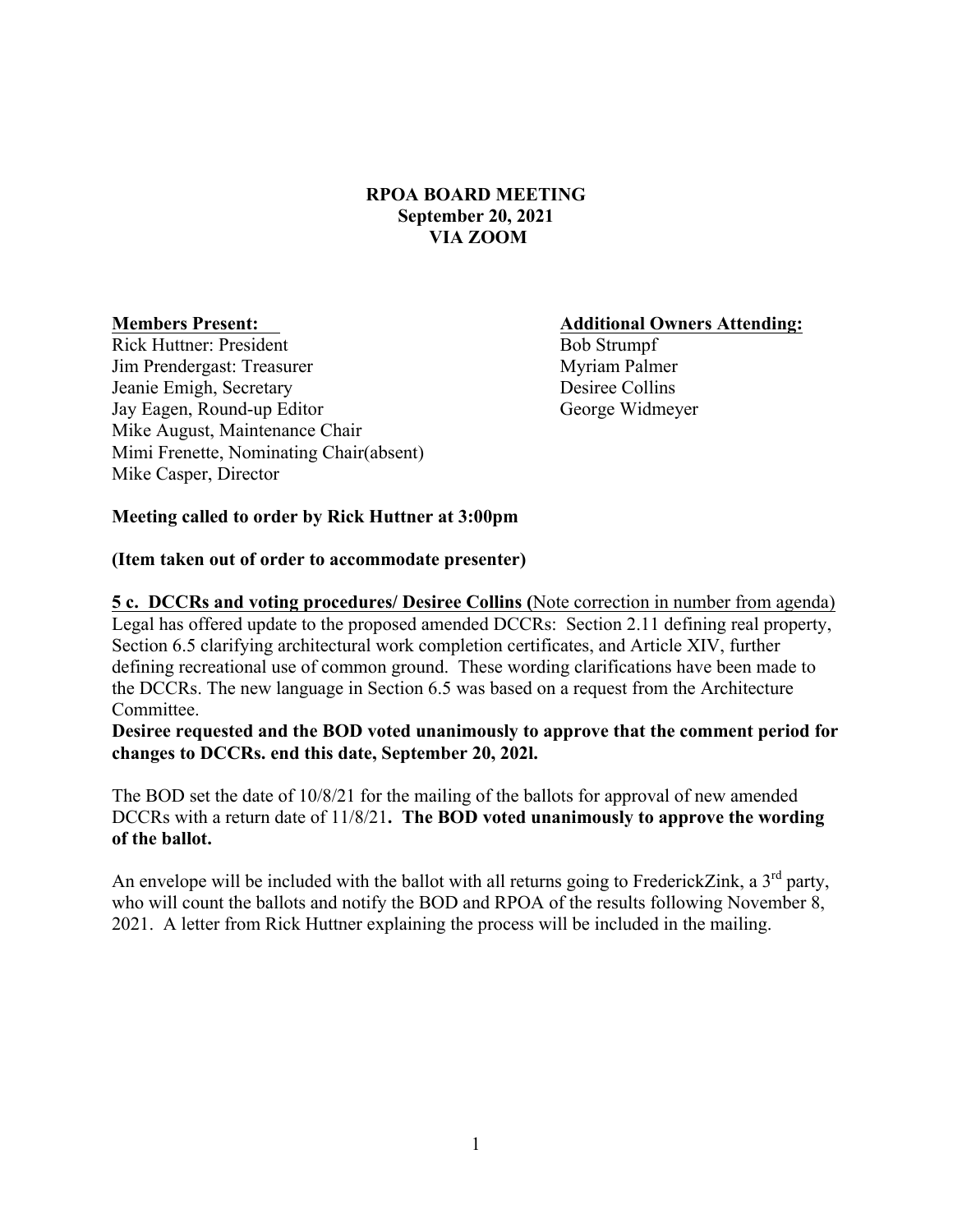## **RPOA BOARD MEETING September 20, 2021 VIA ZOOM**

Rick Huttner: President Bob Strumpf Jim Prendergast: Treasurer Myriam Palmer Jeanie Emigh, Secretary Desiree Collins Jay Eagen, Round-up Editor George Widmeyer Mike August, Maintenance Chair Mimi Frenette, Nominating Chair(absent) Mike Casper, Director

**Members Present: Additional Owners Attending:** 

### **Meeting called to order by Rick Huttner at 3:00pm**

#### **(Item taken out of order to accommodate presenter)**

**5 c. DCCRs and voting procedures/ Desiree Collins (**Note correction in number from agenda) Legal has offered update to the proposed amended DCCRs: Section 2.11 defining real property, Section 6.5 clarifying architectural work completion certificates, and Article XIV, further defining recreational use of common ground. These wording clarifications have been made to the DCCRs. The new language in Section 6.5 was based on a request from the Architecture Committee.

**Desiree requested and the BOD voted unanimously to approve that the comment period for changes to DCCRs. end this date, September 20, 202l.**

The BOD set the date of 10/8/21 for the mailing of the ballots for approval of new amended DCCRs with a return date of 11/8/21**. The BOD voted unanimously to approve the wording of the ballot.**

An envelope will be included with the ballot with all returns going to FrederickZink, a  $3<sup>rd</sup>$  party, who will count the ballots and notify the BOD and RPOA of the results following November 8, 2021. A letter from Rick Huttner explaining the process will be included in the mailing.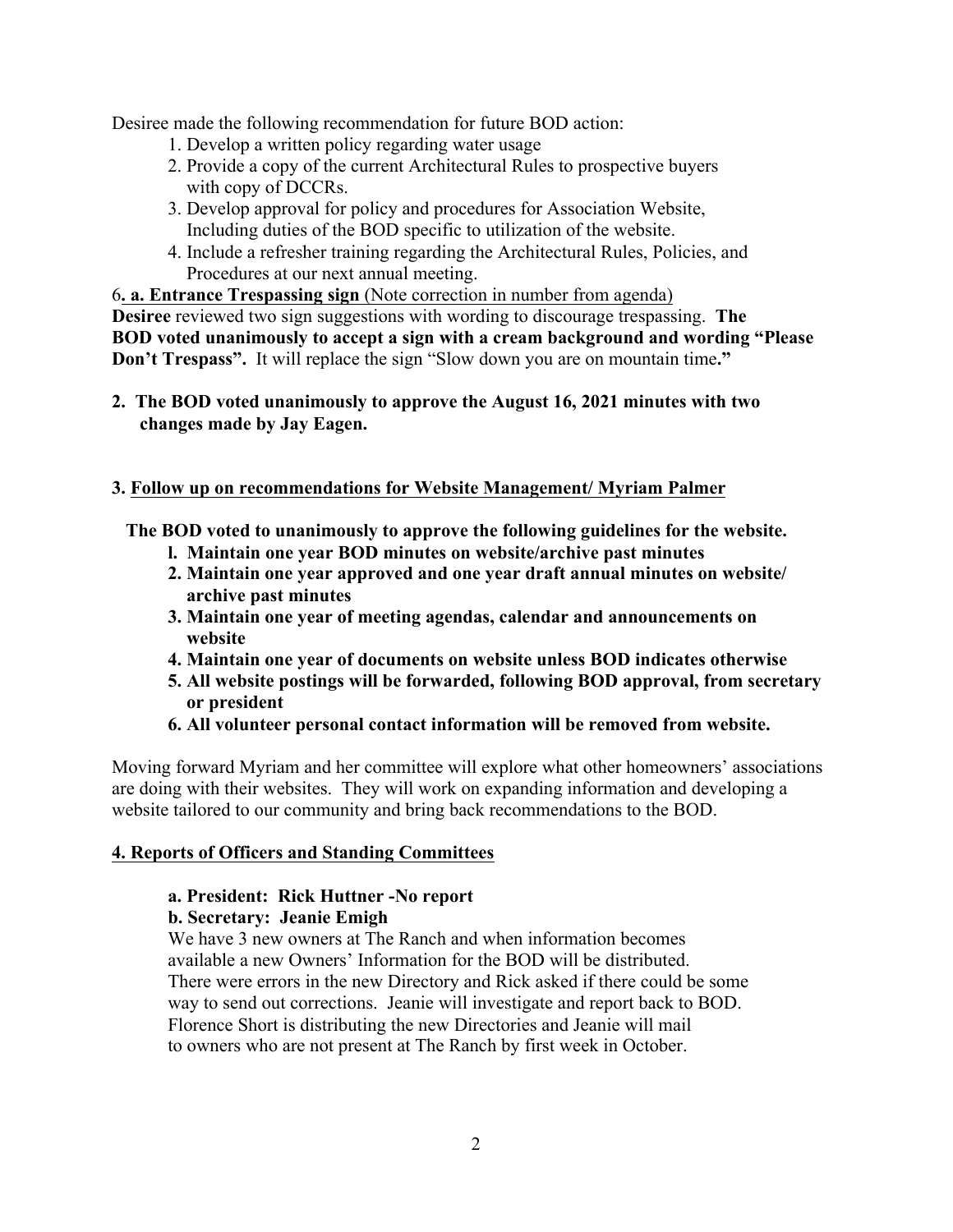Desiree made the following recommendation for future BOD action:

- 1. Develop a written policy regarding water usage
- 2. Provide a copy of the current Architectural Rules to prospective buyers with copy of DCCRs.
- 3. Develop approval for policy and procedures for Association Website, Including duties of the BOD specific to utilization of the website.
- 4. Include a refresher training regarding the Architectural Rules, Policies, and Procedures at our next annual meeting.

6**. a. Entrance Trespassing sign** (Note correction in number from agenda) **Desiree** reviewed two sign suggestions with wording to discourage trespassing. **The BOD voted unanimously to accept a sign with a cream background and wording "Please Don't Trespass".** It will replace the sign "Slow down you are on mountain time**."**

**2. The BOD voted unanimously to approve the August 16, 2021 minutes with two changes made by Jay Eagen.** 

# **3. Follow up on recommendations for Website Management/ Myriam Palmer**

 **The BOD voted to unanimously to approve the following guidelines for the website.**

- **l. Maintain one year BOD minutes on website/archive past minutes**
- **2. Maintain one year approved and one year draft annual minutes on website/ archive past minutes**
- **3. Maintain one year of meeting agendas, calendar and announcements on website**
- **4. Maintain one year of documents on website unless BOD indicates otherwise**
- **5. All website postings will be forwarded, following BOD approval, from secretary or president**
- **6. All volunteer personal contact information will be removed from website.**

Moving forward Myriam and her committee will explore what other homeowners' associations are doing with their websites. They will work on expanding information and developing a website tailored to our community and bring back recommendations to the BOD.

# **4. Reports of Officers and Standing Committees**

# **a. President: Rick Huttner -No report**

## **b. Secretary: Jeanie Emigh**

We have 3 new owners at The Ranch and when information becomes available a new Owners' Information for the BOD will be distributed. There were errors in the new Directory and Rick asked if there could be some way to send out corrections. Jeanie will investigate and report back to BOD. Florence Short is distributing the new Directories and Jeanie will mail to owners who are not present at The Ranch by first week in October.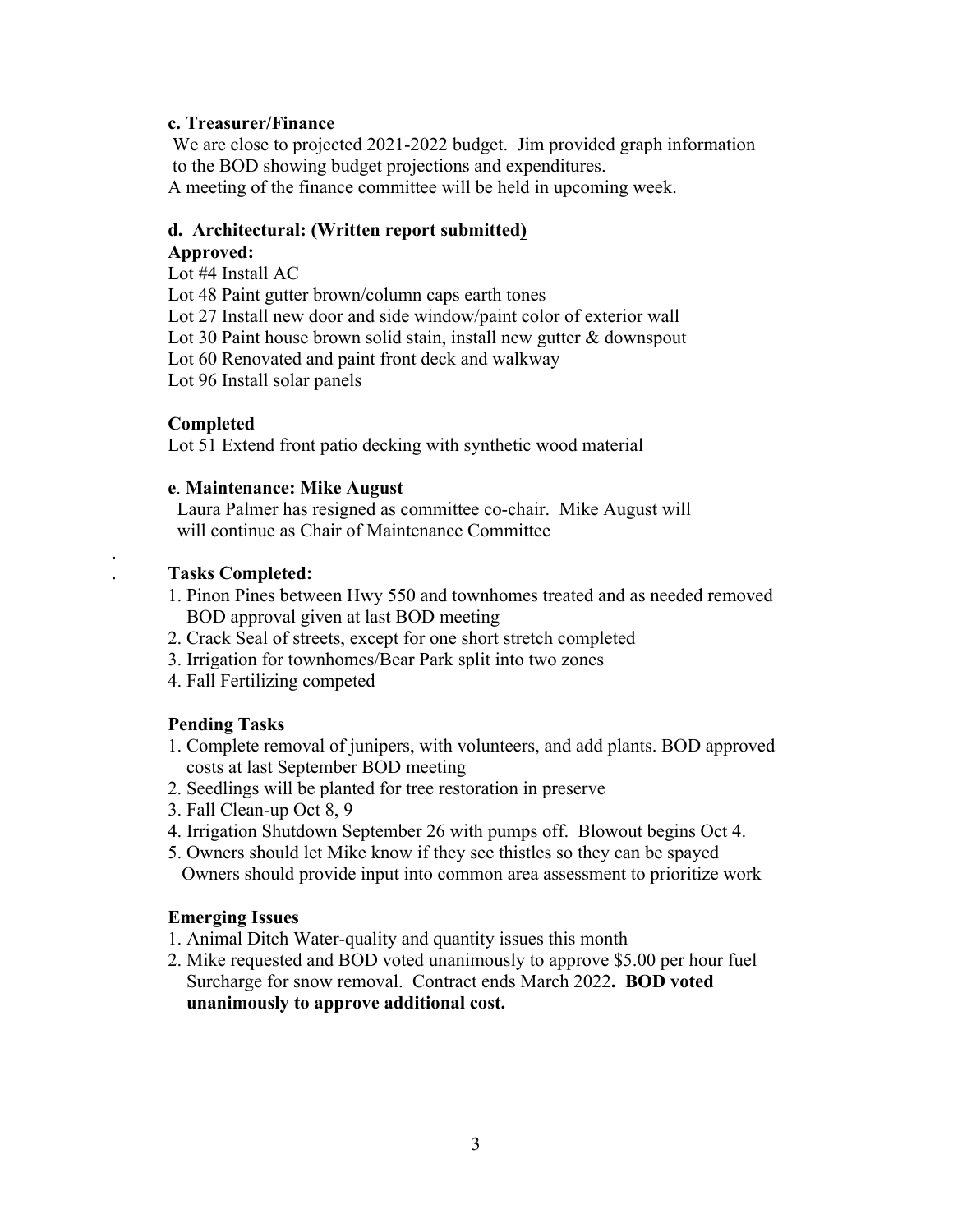### **c. Treasurer/Finance**

 We are close to projected 2021-2022 budget. Jim provided graph information to the BOD showing budget projections and expenditures.

A meeting of the finance committee will be held in upcoming week.

## **d. Architectural: (Written report submitted)**

## **Approved:**

Lot #4 Install AC

Lot 48 Paint gutter brown/column caps earth tones

Lot 27 Install new door and side window/paint color of exterior wall

Lot 30 Paint house brown solid stain, install new gutter & downspout

Lot 60 Renovated and paint front deck and walkway

Lot 96 Install solar panels

## **Completed**

.

Lot 51 Extend front patio decking with synthetic wood material

### **e**. **Maintenance: Mike August**

 Laura Palmer has resigned as committee co-chair. Mike August will will continue as Chair of Maintenance Committee

## . **Tasks Completed:**

- 1. Pinon Pines between Hwy 550 and townhomes treated and as needed removed BOD approval given at last BOD meeting
- 2. Crack Seal of streets, except for one short stretch completed
- 3. Irrigation for townhomes/Bear Park split into two zones
- 4. Fall Fertilizing competed

## **Pending Tasks**

- 1. Complete removal of junipers, with volunteers, and add plants. BOD approved costs at last September BOD meeting
- 2. Seedlings will be planted for tree restoration in preserve
- 3. Fall Clean-up Oct 8, 9
- 4. Irrigation Shutdown September 26 with pumps off. Blowout begins Oct 4.
- 5. Owners should let Mike know if they see thistles so they can be spayed Owners should provide input into common area assessment to prioritize work

## **Emerging Issues**

- 1. Animal Ditch Water-quality and quantity issues this month
- 2. Mike requested and BOD voted unanimously to approve \$5.00 per hour fuel Surcharge for snow removal. Contract ends March 2022**. BOD voted unanimously to approve additional cost.**